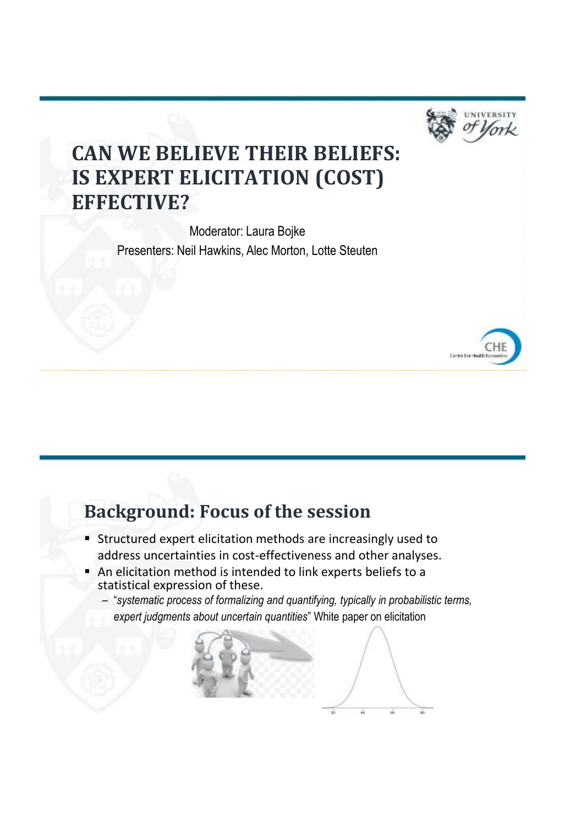

# **CAN WE BELIEVE THEIR BELIEFS: IS EXPERT ELICITATION (COST) EFFECTIVE?**

Moderator: Laura Bojke Presenters: Neil Hawkins, Alec Morton, Lotte Steuten



### **Background: Focus of the session**

- **Structured expert elicitation methods are increasingly used to** address uncertainties in cost-effectiveness and other analyses.
- An elicitation method is intended to link experts beliefs to a statistical expression of these.
	- "*systematic process of formalizing and quantifying, typically in probabilistic terms, expert judgments about uncertain quantities*" White paper on elicitation

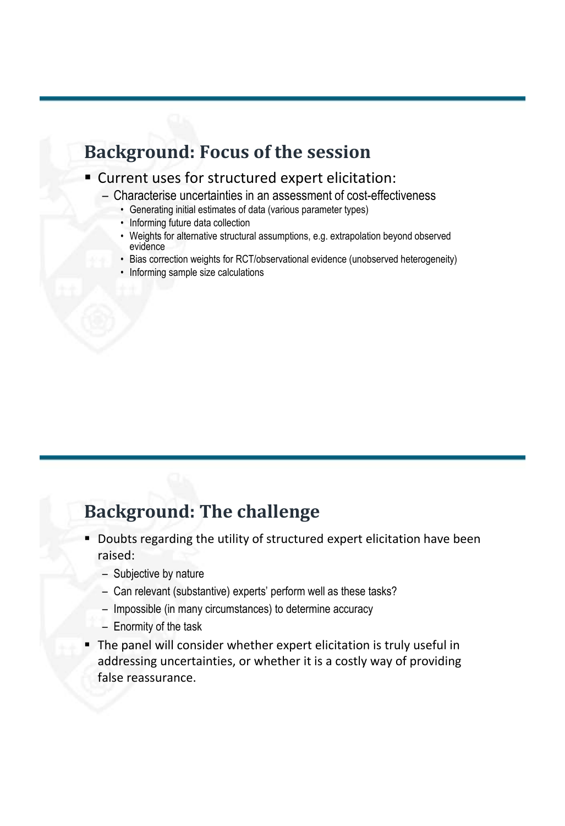#### **Background: Focus of the session**

#### Current uses for structured expert elicitation:

- Characterise uncertainties in an assessment of cost-effectiveness
	- Generating initial estimates of data (various parameter types)
	- Informing future data collection
	- Weights for alternative structural assumptions, e.g. extrapolation beyond observed evidence
	- Bias correction weights for RCT/observational evidence (unobserved heterogeneity)
	- Informing sample size calculations

### **Background: The challenge**

- **Doubts regarding the utility of structured expert elicitation have been** raised:
	- Subjective by nature
	- Can relevant (substantive) experts' perform well as these tasks?
	- Impossible (in many circumstances) to determine accuracy
	- Enormity of the task
- The panel will consider whether expert elicitation is truly useful in addressing uncertainties, or whether it is a costly way of providing false reassurance.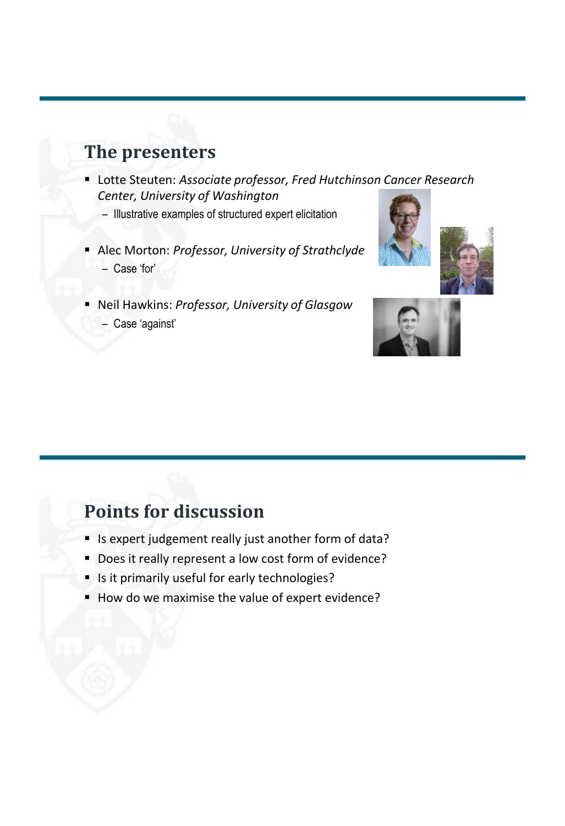### **The presenters**

- Lotte Steuten: *Associate professor, Fred Hutchinson Cancer Research Center, University of Washington*
	- Illustrative examples of structured expert elicitation
- Alec Morton: *Professor, University of Strathclyde* – Case 'for'
- Neil Hawkins: *Professor, University of Glasgow* – Case 'against'





#### **Points for discussion**

- Is expert judgement really just another form of data?
- Does it really represent a low cost form of evidence?
- If Is it primarily useful for early technologies?
- How do we maximise the value of expert evidence?